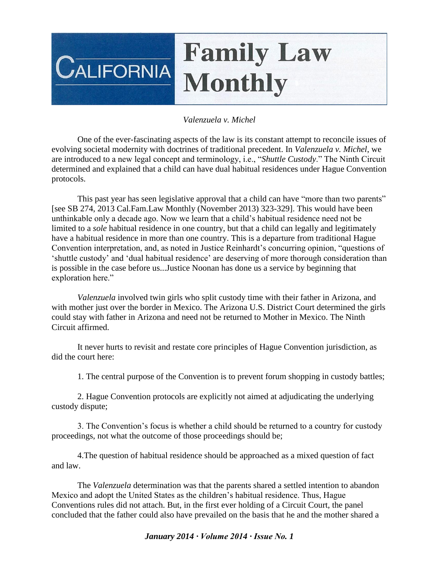## **Family Law**  $\mathsf{C}$ alifornia **Monthly**

## *Valenzuela v. Michel*

One of the ever-fascinating aspects of the law is its constant attempt to reconcile issues of evolving societal modernity with doctrines of traditional precedent. In *Valenzuela v. Michel*, we are introduced to a new legal concept and terminology, i.e., "*Shuttle Custody*." The Ninth Circuit determined and explained that a child can have dual habitual residences under Hague Convention protocols.

This past year has seen legislative approval that a child can have "more than two parents" [see SB 274, 2013 Cal.Fam.Law Monthly (November 2013) 323-329]. This would have been unthinkable only a decade ago. Now we learn that a child's habitual residence need not be limited to a *sole* habitual residence in one country, but that a child can legally and legitimately have a habitual residence in more than one country. This is a departure from traditional Hague Convention interpretation, and, as noted in Justice Reinhardt's concurring opinion, "questions of 'shuttle custody' and 'dual habitual residence' are deserving of more thorough consideration than is possible in the case before us...Justice Noonan has done us a service by beginning that exploration here."

*Valenzuela* involved twin girls who split custody time with their father in Arizona, and with mother just over the border in Mexico. The Arizona U.S. District Court determined the girls could stay with father in Arizona and need not be returned to Mother in Mexico. The Ninth Circuit affirmed.

It never hurts to revisit and restate core principles of Hague Convention jurisdiction, as did the court here:

1. The central purpose of the Convention is to prevent forum shopping in custody battles;

2. Hague Convention protocols are explicitly not aimed at adjudicating the underlying custody dispute;

3. The Convention's focus is whether a child should be returned to a country for custody proceedings, not what the outcome of those proceedings should be;

4.The question of habitual residence should be approached as a mixed question of fact and law.

The *Valenzuela* determination was that the parents shared a settled intention to abandon Mexico and adopt the United States as the children's habitual residence. Thus, Hague Conventions rules did not attach. But, in the first ever holding of a Circuit Court, the panel concluded that the father could also have prevailed on the basis that he and the mother shared a

## *January 2014 ∙ Volume 2014 ∙ Issue No. 1*